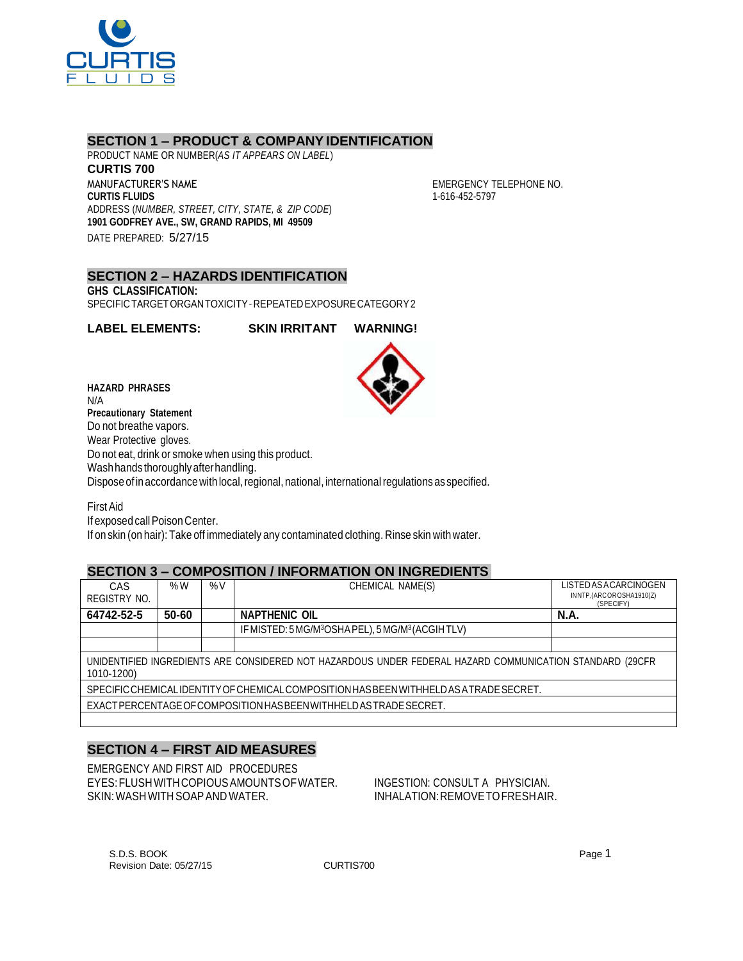

## **SECTION 1 – PRODUCT & COMPANY IDENTIFICATION**

PRODUCT NAME OR NUMBER(*AS IT APPEARS ON LABEL*) **CURTIS 700** MANUFACTURER'S NAME **CURTIS FLUIDS** ADDRESS (*NUMBER, STREET, CITY, STATE, & ZIP CODE*) **1901 GODFREY AVE., SW, GRAND RAPIDS, MI 49509** DATE PREPARED: 5/27/15

EMERGENCY TELEPHONE NO. 1-616-452-5797

**SECTION 2 – HAZARDS IDENTIFICATION GHS CLASSIFICATION:** SPECIFICTARGETORGANTOXICITY–REPEATEDEXPOSURECATEGORY2

**LABEL ELEMENTS: SKIN IRRITANT WARNING!**

**HAZARD PHRASES** N/A **Precautionary Statement** Do not breathe vapors. Wear Protective gloves. Do not eat, drink or smoke when using this product. Washhandsthoroughlyafterhandling. Dispose of in accordance with local, regional, national, international regulations as specified.

FirstAid If exposed call Poison Center. If on skin (on hair): Take off immediately any contaminated clothing. Rinse skin with water.

# **SECTION 3 – COMPOSITION / INFORMATION ON INGREDIENTS**

| CAS                                                                                                                    | % $W$ | $\%V$ | CHEMICAL NAME(S)                                                          | LISTED AS ACARCINOGEN                |
|------------------------------------------------------------------------------------------------------------------------|-------|-------|---------------------------------------------------------------------------|--------------------------------------|
| REGISTRY NO.                                                                                                           |       |       |                                                                           | INNTP,(ARCOROSHA1910(Z)<br>(SPECIFY) |
| 64742-52-5                                                                                                             | 50-60 |       | <b>NAPTHENIC OIL</b>                                                      | <b>N.A.</b>                          |
|                                                                                                                        |       |       | IF MISTED: 5 MG/M <sup>3</sup> OSHA PEL), 5 MG/M <sup>3</sup> (ACGIH TLV) |                                      |
|                                                                                                                        |       |       |                                                                           |                                      |
| UNIDENTIFIED INGREDIENTS ARE CONSIDERED NOT HAZARDOUS UNDER FEDERAL HAZARD COMMUNICATION STANDARD (29CFR<br>1010-1200) |       |       |                                                                           |                                      |
| SPECIFIC CHEMICALIDENTITY OF CHEMICAL COMPOSITION HAS BEEN WITHHELD AS A TRADE SECRET.                                 |       |       |                                                                           |                                      |
| EXACT PERCENTAGE OF COMPOSITION HAS BEEN WITH HELD AS TRADE SECRET.                                                    |       |       |                                                                           |                                      |
|                                                                                                                        |       |       |                                                                           |                                      |

# **SECTION 4 – FIRST AID MEASURES**

EMERGENCY AND FIRST AID PROCEDURES EYES:FLUSHWITHCOPIOUSAMOUNTSOFWATER. INGESTION: CONSULT A PHYSICIAN. SKIN: WASH WITH SOAP AND WATER.  $\blacksquare$  INHALATION: REMOVE TO FRESHAIR.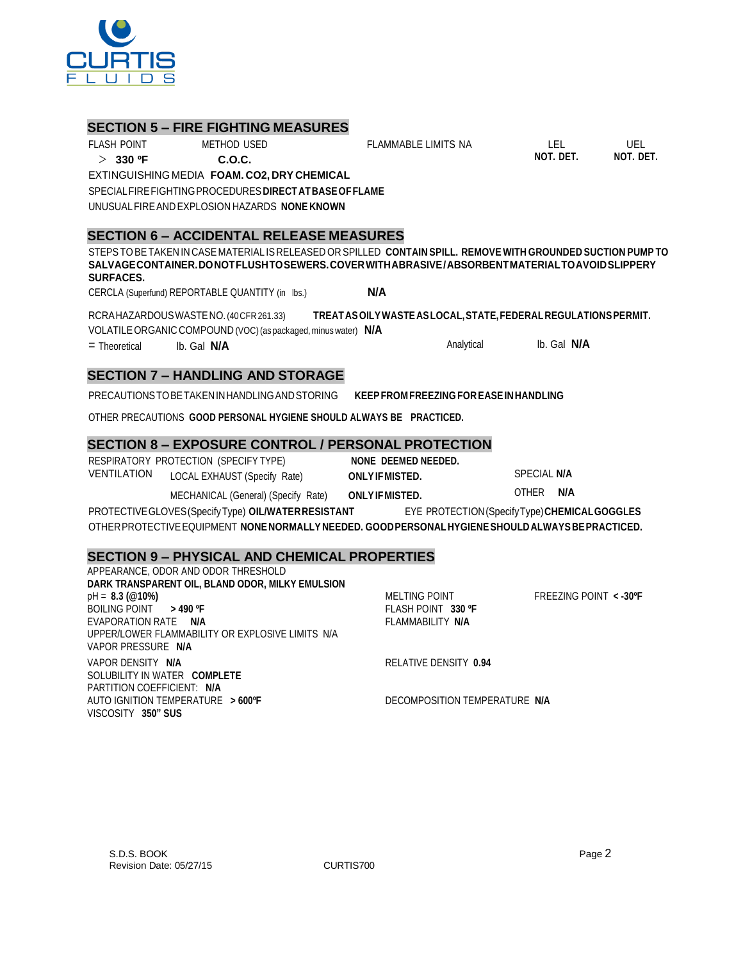APPEARANCE, ODOR AND ODOR THRESHOLD

**SURFACES.**

**SECTION 6 – ACCIDENTAL RELEASE MEASURES**

CERCLA (Superfund) REPORTABLE QUANTITY (in lbs.) **N/A**

**SECTION 5 – FIRE FIGHTING MEASURES**

EXTINGUISHING MEDIA **FOAM. CO2, DRY CHEMICAL** SPECIALFIREFIGHTINGPROCEDURES**DIRECTATBASEOFFLAME**

UNUSUALFIREANDEXPLOSION HAZARDS **NONE KNOWN**

FLASH POINT METHOD USED > **330 ºF C.O.C.**

RCRAHAZARDOUSWASTENO.(40CFR261.33) **TREATASOILYWASTEASLOCAL,STATE,FEDERALREGULATIONSPERMIT.** VOLATILEORGANIC COMPOUND (VOC)(as packaged, minus water) **N/A**

STEPSTOBETAKEN IN CASE MATERIAL IS RELEASED OR SPILLED **CONTAIN SPILL. REMOVE WITH GROUNDED SUCTION PUMP TO SALVAGECONTAINER.DONOTFLUSHTOSEWERS.COVERWITHABRASIVE/ABSORBENTMATERIALTOAVOIDSLIPPERY**

= Theoretical lb. Gal **N/A** Analytical lb. Gal **N/A**

# **SECTION 7 – HANDLING AND STORAGE**

PRECAUTIONSTOBETAKENINHANDLINGANDSTORING **KEEPFROM FREEZING FOREASEINHANDLING**

OTHER PRECAUTIONS **GOOD PERSONAL HYGIENE SHOULD ALWAYS BE PRACTICED.**

# **SECTION 8 – EXPOSURE CONTROL / PERSONAL PROTECTION**

RESPIRATORY PROTECTION (SPECIFY TYPE) **NONE DEEMED NEEDED.** VENTILATION LOCAL EXHAUST (Specify Rate) **ONLYIFMISTED.** SPECIAL **N/A**

MECHANICAL (General) (Specify Rate) **ONLYIFMISTED.** OTHER **N/A**

PROTECTIVEGLOVES(SpecifyType) **OIL/WATERRESISTANT** EYE PROTECTION(SpecifyType)**CHEMICALGOGGLES** OTHERPROTECTIVEEQUIPMENT **NONENORMALLY NEEDED. GOODPERSONALHYGIENESHOULDALWAYSBEPRACTICED.**

# **SECTION 9 – PHYSICAL AND CHEMICAL PROPERTIES**

| 71 LEAN MOL. ODON AMD ODON THINLOHOLD            |                               |                         |
|--------------------------------------------------|-------------------------------|-------------------------|
| DARK TRANSPARENT OIL, BLAND ODOR, MILKY EMULSION |                               |                         |
| $pH = 8.3$ (@10%)                                | <b>MELTING POINT</b>          | FREEZING POINT < - 30°F |
| BOILING POINT > 490 ºF                           | FLASH POINT 330 °F            |                         |
| EVAPORATION RATE N/A                             | FLAMMABILITY N/A              |                         |
| UPPER/LOWER FLAMMABILITY OR EXPLOSIVE LIMITS N/A |                               |                         |
| VAPOR PRESSURE N/A                               |                               |                         |
| VAPOR DENSITY N/A                                | RELATIVE DENSITY 0.94         |                         |
| SOLUBILITY IN WATER COMPLETE                     |                               |                         |
| PARTITION COEFFICIENT: N/A                       |                               |                         |
| AUTO IGNITION TEMPERATURE > 600°F                | DECOMPOSITION TEMPERATURE N/A |                         |
| VISCOSITY 350" SUS                               |                               |                         |
|                                                  |                               |                         |



FLAMMABLE LIMITS NA LEL UEL

**NOT. DET. NOT. DET.**